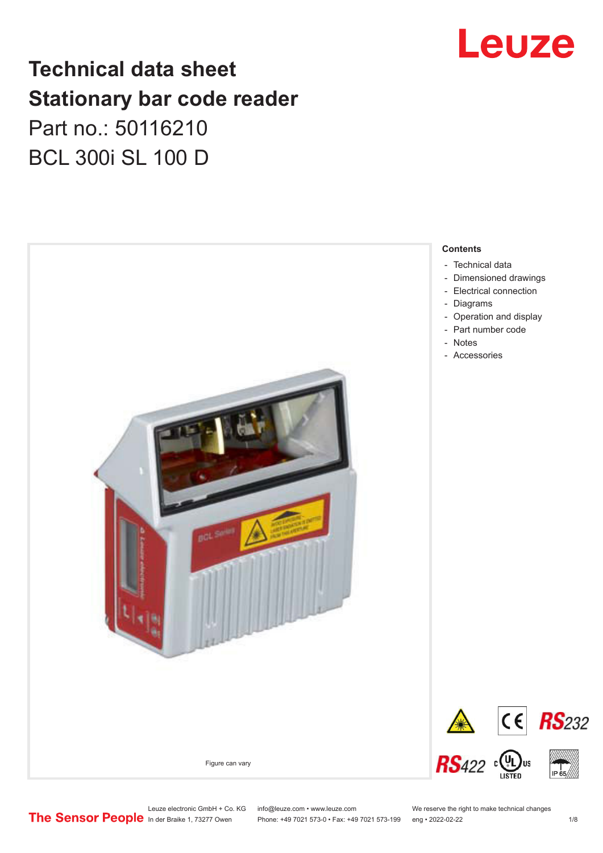## Leuze

## **Technical data sheet Stationary bar code reader** Part no.: 50116210 BCL 300i SL 100 D



Leuze electronic GmbH + Co. KG info@leuze.com • www.leuze.com We reserve the right to make technical changes<br>
The Sensor People in der Braike 1, 73277 Owen Phone: +49 7021 573-0 • Fax: +49 7021 573-199 eng • 2022-02-22

Phone: +49 7021 573-0 • Fax: +49 7021 573-199 eng • 2022-02-22 1 2022-02-22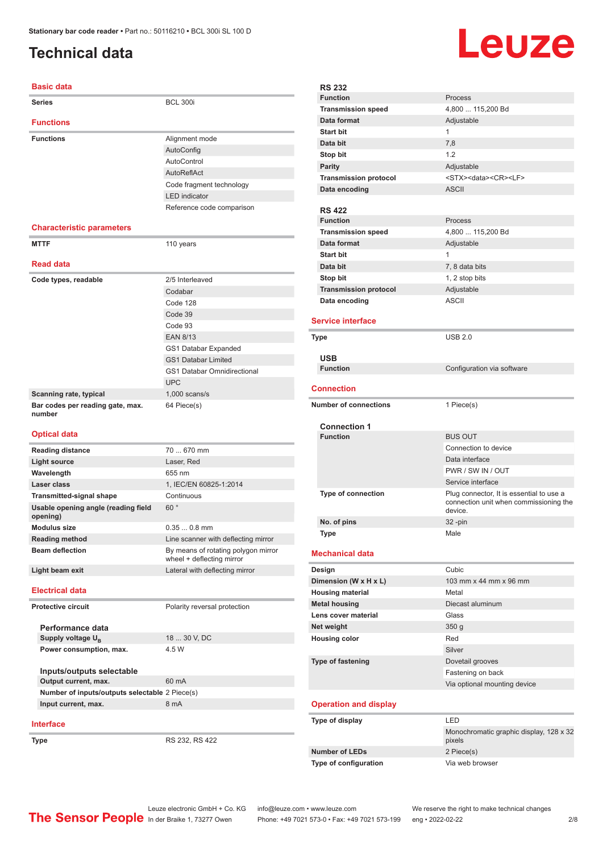#### <span id="page-1-0"></span>**Technical data**

#### **Basic data**

| Dasiy yata                                      |                                                                  |
|-------------------------------------------------|------------------------------------------------------------------|
| <b>Series</b>                                   | <b>BCL 300i</b>                                                  |
| <b>Functions</b>                                |                                                                  |
| <b>Functions</b>                                | Alignment mode                                                   |
|                                                 | AutoConfig                                                       |
|                                                 | AutoControl                                                      |
|                                                 | <b>AutoReflAct</b>                                               |
|                                                 | Code fragment technology                                         |
|                                                 | <b>LED</b> indicator                                             |
|                                                 | Reference code comparison                                        |
| <b>Characteristic parameters</b>                |                                                                  |
| <b>MTTF</b>                                     | 110 years                                                        |
|                                                 |                                                                  |
| <b>Read data</b>                                |                                                                  |
| Code types, readable                            | 2/5 Interleaved                                                  |
|                                                 | Codabar                                                          |
|                                                 | Code 128                                                         |
|                                                 | Code 39                                                          |
|                                                 | Code 93                                                          |
|                                                 | <b>EAN 8/13</b>                                                  |
|                                                 | GS1 Databar Expanded                                             |
|                                                 | <b>GS1 Databar Limited</b>                                       |
|                                                 | <b>GS1 Databar Omnidirectional</b>                               |
|                                                 | <b>UPC</b>                                                       |
| Scanning rate, typical                          | $1,000$ scans/s                                                  |
| Bar codes per reading gate, max.                | 64 Piece(s)                                                      |
| number                                          |                                                                  |
| <b>Optical data</b>                             |                                                                  |
|                                                 |                                                                  |
| <b>Reading distance</b>                         | 70  670 mm                                                       |
| <b>Light source</b>                             | Laser, Red                                                       |
| Wavelength                                      | 655 nm                                                           |
| Laser class                                     | 1, IEC/EN 60825-1:2014                                           |
| <b>Transmitted-signal shape</b>                 | Continuous                                                       |
| Usable opening angle (reading field<br>opening) | 60°                                                              |
| <b>Modulus size</b>                             | $0.350.8$ mm                                                     |
| <b>Reading method</b>                           | Line scanner with deflecting mirror                              |
| <b>Beam deflection</b>                          | By means of rotating polygon mirror<br>wheel + deflecting mirror |
| Light beam exit                                 | Lateral with deflecting mirror                                   |
| <b>Electrical data</b>                          |                                                                  |
| <b>Protective circuit</b>                       | Polarity reversal protection                                     |
|                                                 |                                                                  |
| Performance data                                |                                                                  |
| Supply voltage U <sub>R</sub>                   | 18  30 V, DC                                                     |
| Power consumption, max.                         | 4.5 W                                                            |
| Inputs/outputs selectable                       |                                                                  |

## **Output current, max.** 60 mA **Number of inputs/outputs selectable** 2 Piece(s) **Input current, max.** 8 mA

#### **Interface**

**Type** RS 232, RS 422

Leuze

| <b>RS 232</b>                          |                                            |
|----------------------------------------|--------------------------------------------|
| <b>Function</b>                        | Process                                    |
| <b>Transmission speed</b>              | 4,800  115,200 Bd                          |
| Data format                            | Adjustable                                 |
| <b>Start bit</b>                       | 1                                          |
| Data bit                               | 7,8                                        |
| Stop bit                               | 1.2                                        |
| <b>Parity</b>                          | Adjustable                                 |
| <b>Transmission protocol</b>           | <stx><data><cr><lf></lf></cr></data></stx> |
| Data encoding                          | <b>ASCII</b>                               |
|                                        |                                            |
| <b>RS 422</b>                          |                                            |
| <b>Function</b>                        | Process                                    |
| <b>Transmission speed</b>              | 4,800  115,200 Bd                          |
| Data format                            | Adjustable                                 |
| <b>Start bit</b>                       | 1                                          |
| Data bit                               | 7, 8 data bits                             |
| Stop bit                               | 1, 2 stop bits                             |
| <b>Transmission protocol</b>           | Adjustable                                 |
| Data encoding                          | <b>ASCII</b>                               |
| <b>Service interface</b>               |                                            |
| Type                                   | <b>USB 2.0</b>                             |
|                                        |                                            |
| <b>USB</b>                             |                                            |
| <b>Function</b>                        | Configuration via software                 |
|                                        |                                            |
| <b>Connection</b>                      |                                            |
| <b>Number of connections</b>           | 1 Piece(s)                                 |
|                                        |                                            |
| <b>Connection 1</b><br><b>Function</b> | <b>BUS OUT</b>                             |
|                                        | Connection to device                       |
|                                        | Data interface                             |
|                                        | PWR / SW IN / OUT                          |
|                                        | Service interface                          |
| <b>Type of connection</b>              | Plug connector, It is essential to use a   |
|                                        | connection unit when commissioning the     |
|                                        | device.                                    |
| No. of pins                            | 32 -pin                                    |
| <b>Type</b>                            | Male                                       |
| <b>Mechanical data</b>                 |                                            |
| Design                                 | Cubic                                      |
| Dimension (W x H x L)                  | 103 mm x 44 mm x 96 mm                     |
| <b>Housing material</b>                | Metal                                      |
| <b>Metal housing</b>                   | Diecast aluminum                           |
| Lens cover material                    | Glass                                      |
| Net weight                             | 350 <sub>g</sub>                           |
| <b>Housing color</b>                   | Red                                        |
|                                        | Silver                                     |
| <b>Type of fastening</b>               | Dovetail grooves                           |
|                                        | Fastening on back                          |
|                                        | Via optional mounting device               |
|                                        |                                            |
| <b>Operation and display</b>           |                                            |
| Type of display                        | LED                                        |
|                                        | Monochromatic graphic display, 128 x 32    |
| <b>Number of LEDs</b>                  | pixels<br>2 Piece(s)                       |
| Type of configuration                  | Via web browser                            |
|                                        |                                            |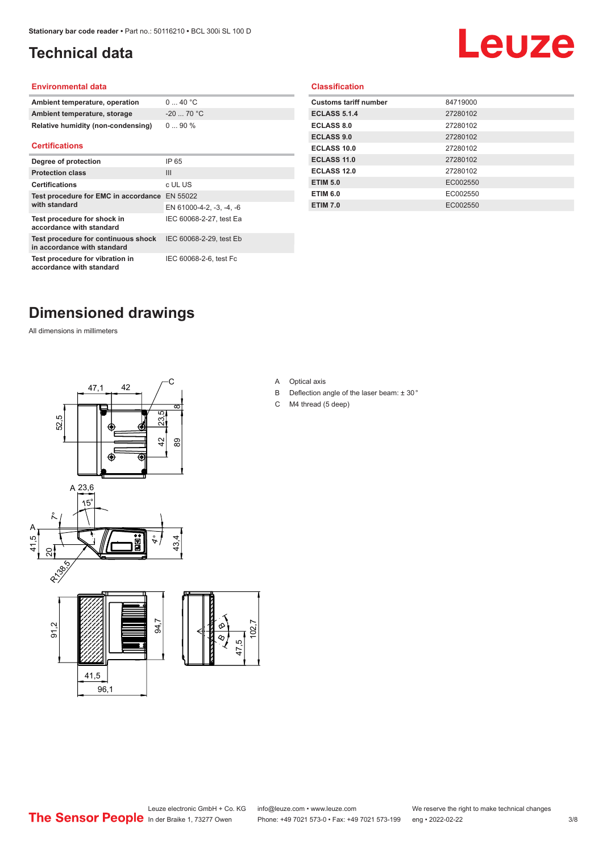### <span id="page-2-0"></span>**Technical data**

# Leuze

#### **Environmental data**

| Ambient temperature, operation     | $0 \dots 40$ °C |
|------------------------------------|-----------------|
| Ambient temperature, storage       | $-20$ 70 °C     |
| Relative humidity (non-condensing) | $090\%$         |

#### **Certifications**

| Degree of protection                                               | IP 65                    |
|--------------------------------------------------------------------|--------------------------|
| <b>Protection class</b>                                            | Ш                        |
| <b>Certifications</b>                                              | c UL US                  |
| Test procedure for EMC in accordance EN 55022                      |                          |
| with standard                                                      | EN 61000-4-2, -3, -4, -6 |
| Test procedure for shock in<br>accordance with standard            | IEC 60068-2-27, test Ea  |
| Test procedure for continuous shock<br>in accordance with standard | IEC 60068-2-29, test Eb  |
| Test procedure for vibration in<br>accordance with standard        | IEC 60068-2-6, test Fc   |

#### **Classification**

| <b>Customs tariff number</b> | 84719000 |
|------------------------------|----------|
| <b>ECLASS 5.1.4</b>          | 27280102 |
| <b>ECLASS 8.0</b>            | 27280102 |
| <b>ECLASS 9.0</b>            | 27280102 |
| ECLASS 10.0                  | 27280102 |
| <b>ECLASS 11.0</b>           | 27280102 |
| ECLASS 12.0                  | 27280102 |
| <b>ETIM 5.0</b>              | EC002550 |
| <b>ETIM 6.0</b>              | EC002550 |
| <b>ETIM 7.0</b>              | EC002550 |
|                              |          |

### **Dimensioned drawings**

All dimensions in millimeters



A Optical axis

 $\overline{8}$ 

- B Deflection angle of the laser beam: ± 30 °
- C M4 thread (5 deep)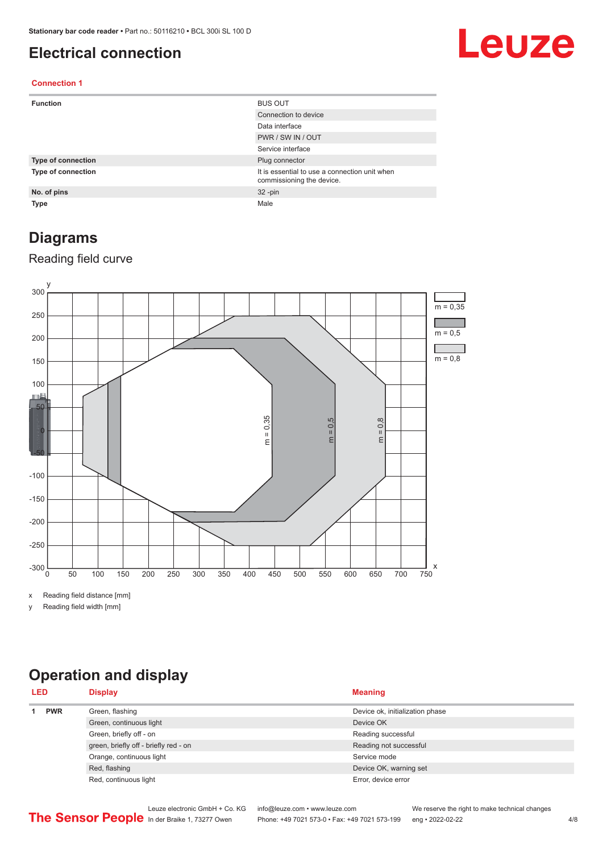#### <span id="page-3-0"></span>**Electrical connection**

## Leuze

#### **Connection 1**

| <b>Function</b>           | <b>BUS OUT</b>                                                             |
|---------------------------|----------------------------------------------------------------------------|
|                           | Connection to device                                                       |
|                           | Data interface                                                             |
|                           | PWR / SW IN / OUT                                                          |
|                           | Service interface                                                          |
| <b>Type of connection</b> | Plug connector                                                             |
| Type of connection        | It is essential to use a connection unit when<br>commissioning the device. |
| No. of pins               | $32 - pin$                                                                 |
| <b>Type</b>               | Male                                                                       |

#### **Diagrams**

#### Reading field curve



x Reading field distance [mm]

y Reading field width [mm]

### **Operation and display**

| <b>LED</b> |  | <b>Display</b>                        | <b>Meaning</b>                  |
|------------|--|---------------------------------------|---------------------------------|
| <b>PWR</b> |  | Green, flashing                       | Device ok, initialization phase |
|            |  | Green, continuous light               | Device OK                       |
|            |  | Green, briefly off - on               | Reading successful              |
|            |  | green, briefly off - briefly red - on | Reading not successful          |
|            |  | Orange, continuous light              | Service mode                    |
|            |  | Red, flashing                         | Device OK, warning set          |
|            |  | Red, continuous light                 | Error, device error             |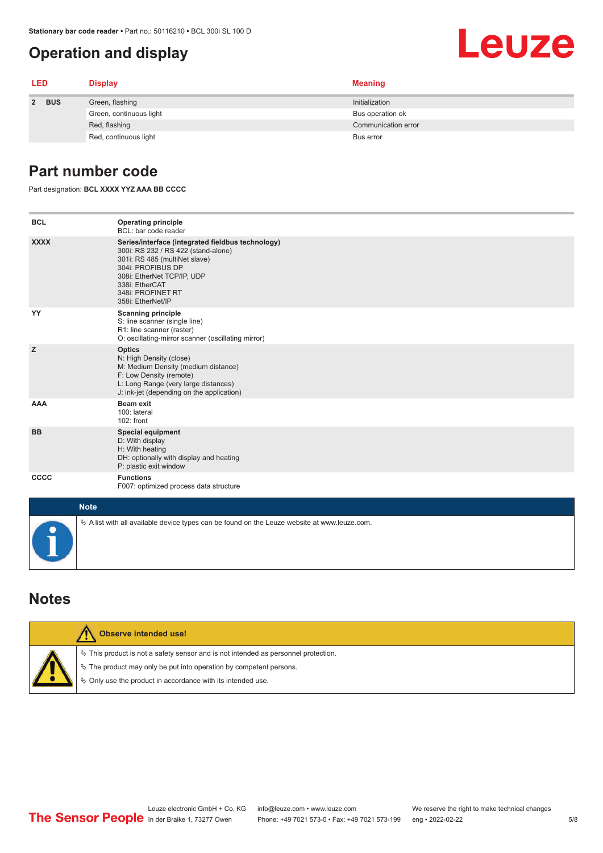#### <span id="page-4-0"></span>**Operation and display**

| <b>LED</b> |  | <b>Display</b>          | <b>Meaning</b>      |
|------------|--|-------------------------|---------------------|
| 2 BUS      |  | Green, flashing         | Initialization      |
|            |  | Green, continuous light | Bus operation ok    |
|            |  | Red, flashing           | Communication error |
|            |  | Red, continuous light   | Bus error           |

#### **Part number code**

Part designation: **BCL XXXX YYZ AAA BB CCCC**

| <b>BCL</b>  | <b>Operating principle</b><br>BCL: bar code reader                                                                                                                                                                                       |
|-------------|------------------------------------------------------------------------------------------------------------------------------------------------------------------------------------------------------------------------------------------|
| <b>XXXX</b> | Series/interface (integrated fieldbus technology)<br>300i: RS 232 / RS 422 (stand-alone)<br>301i: RS 485 (multiNet slave)<br>304i: PROFIBUS DP<br>308i: EtherNet TCP/IP, UDP<br>338i: EtherCAT<br>348i: PROFINET RT<br>358i: EtherNet/IP |
| YY          | <b>Scanning principle</b><br>S: line scanner (single line)<br>R1: line scanner (raster)<br>O: oscillating-mirror scanner (oscillating mirror)                                                                                            |
| z           | <b>Optics</b><br>N: High Density (close)<br>M: Medium Density (medium distance)<br>F: Low Density (remote)<br>L: Long Range (very large distances)<br>J: ink-jet (depending on the application)                                          |
| <b>AAA</b>  | <b>Beam exit</b><br>100: lateral<br>102: front                                                                                                                                                                                           |
| <b>BB</b>   | <b>Special equipment</b><br>D: With display<br>H: With heating<br>DH: optionally with display and heating<br>P: plastic exit window                                                                                                      |
| CCCC        | <b>Functions</b><br>F007: optimized process data structure                                                                                                                                                                               |
| <b>Note</b> |                                                                                                                                                                                                                                          |
|             | $\&$ A list with all available device types can be found on the Leuze website at www.leuze.com.                                                                                                                                          |

#### **Notes**

| Observe intended use!                                                                                                                                                                                                           |
|---------------------------------------------------------------------------------------------------------------------------------------------------------------------------------------------------------------------------------|
| $\%$ This product is not a safety sensor and is not intended as personnel protection.<br>₹ The product may only be put into operation by competent persons.<br>$\phi$ Only use the product in accordance with its intended use. |

**Leuze**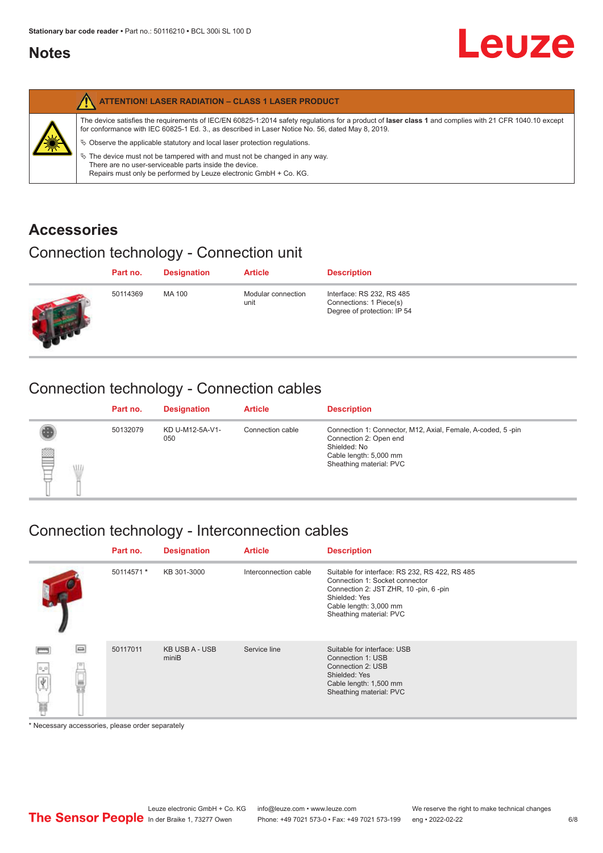#### <span id="page-5-0"></span>**Notes**

| <b>ATTENTION! LASER RADIATION - CLASS 1 LASER PRODUCT</b>                                                                                                                                                                                                                                                                                                                                                                                                                                                                                                   |
|-------------------------------------------------------------------------------------------------------------------------------------------------------------------------------------------------------------------------------------------------------------------------------------------------------------------------------------------------------------------------------------------------------------------------------------------------------------------------------------------------------------------------------------------------------------|
| The device satisfies the requirements of IEC/EN 60825-1:2014 safety regulations for a product of laser class 1 and complies with 21 CFR 1040.10 except<br>for conformance with IEC 60825-1 Ed. 3., as described in Laser Notice No. 56, dated May 8, 2019.<br>$\&$ Observe the applicable statutory and local laser protection regulations.<br>$\%$ The device must not be tampered with and must not be changed in any way.<br>There are no user-serviceable parts inside the device.<br>Repairs must only be performed by Leuze electronic GmbH + Co. KG. |

#### **Accessories**

### Connection technology - Connection unit

| Part no. | <b>Designation</b> | <b>Article</b>             | <b>Description</b>                                                                  |
|----------|--------------------|----------------------------|-------------------------------------------------------------------------------------|
| 50114369 | MA 100             | Modular connection<br>unit | Interface: RS 232, RS 485<br>Connections: 1 Piece(s)<br>Degree of protection: IP 54 |

### Connection technology - Connection cables

|         | Part no. | <b>Designation</b>     | <b>Article</b>   | <b>Description</b>                                                                                                                                         |
|---------|----------|------------------------|------------------|------------------------------------------------------------------------------------------------------------------------------------------------------------|
| §<br>WL | 50132079 | KD U-M12-5A-V1-<br>050 | Connection cable | Connection 1: Connector, M12, Axial, Female, A-coded, 5-pin<br>Connection 2: Open end<br>Shielded: No<br>Cable length: 5,000 mm<br>Sheathing material: PVC |

### Connection technology - Interconnection cables

|                                     | Part no.   | <b>Designation</b>             | <b>Article</b>        | <b>Description</b>                                                                                                                                                                               |
|-------------------------------------|------------|--------------------------------|-----------------------|--------------------------------------------------------------------------------------------------------------------------------------------------------------------------------------------------|
|                                     | 50114571 * | KB 301-3000                    | Interconnection cable | Suitable for interface: RS 232, RS 422, RS 485<br>Connection 1: Socket connector<br>Connection 2: JST ZHR, 10 -pin, 6 -pin<br>Shielded: Yes<br>Cable length: 3,000 mm<br>Sheathing material: PVC |
| e<br>$\mathrm{e}^{\mathrm{e}}$<br>Ħ | 50117011   | <b>KB USB A - USB</b><br>miniB | Service line          | Suitable for interface: USB<br>Connection 1: USB<br>Connection 2: USB<br>Shielded: Yes<br>Cable length: 1,500 mm<br>Sheathing material: PVC                                                      |

\* Necessary accessories, please order separately

Leuze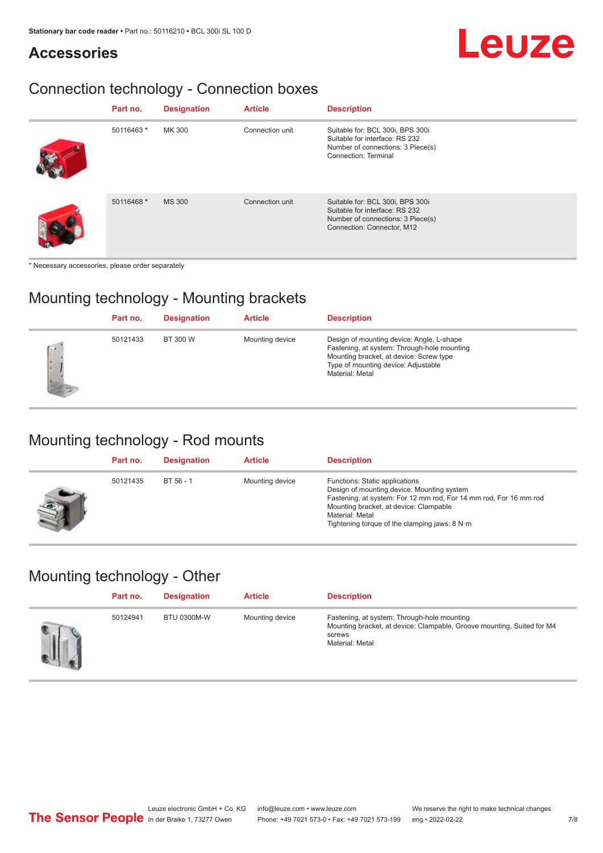#### **Accessories**

## Leuze

### Connection technology - Connection boxes

| Part no.   | <b>Designation</b> | <b>Article</b>  | <b>Description</b>                                                                                                                    |
|------------|--------------------|-----------------|---------------------------------------------------------------------------------------------------------------------------------------|
| 50116463 * | MK 300             | Connection unit | Suitable for: BCL 300i, BPS 300i<br>Suitable for interface: RS 232<br>Number of connections: 3 Piece(s)<br>Connection: Terminal       |
| 50116468 * | <b>MS 300</b>      | Connection unit | Suitable for: BCL 300i, BPS 300i<br>Suitable for interface: RS 232<br>Number of connections: 3 Piece(s)<br>Connection: Connector, M12 |

\* Necessary accessories, please order separately

#### Mounting technology - Mounting brackets

|             | Part no. | <b>Designation</b> | <b>Article</b>  | <b>Description</b>                                                                                                                                                                            |
|-------------|----------|--------------------|-----------------|-----------------------------------------------------------------------------------------------------------------------------------------------------------------------------------------------|
| $\sim$<br>× | 50121433 | BT 300 W           | Mounting device | Design of mounting device: Angle, L-shape<br>Fastening, at system: Through-hole mounting<br>Mounting bracket, at device: Screw type<br>Type of mounting device: Adjustable<br>Material: Metal |

#### Mounting technology - Rod mounts

| Part no. | <b>Designation</b> | <b>Article</b>  | <b>Description</b>                                                                                                                                                                                                                                                |
|----------|--------------------|-----------------|-------------------------------------------------------------------------------------------------------------------------------------------------------------------------------------------------------------------------------------------------------------------|
| 50121435 | $BT 56 - 1$        | Mounting device | Functions: Static applications<br>Design of mounting device: Mounting system<br>Fastening, at system: For 12 mm rod, For 14 mm rod, For 16 mm rod<br>Mounting bracket, at device: Clampable<br>Material: Metal<br>Tightening torque of the clamping jaws: $8 N·m$ |

#### Mounting technology - Other

| Part no. | <b>Designation</b> | <b>Article</b>  | <b>Description</b>                                                                                                                                 |
|----------|--------------------|-----------------|----------------------------------------------------------------------------------------------------------------------------------------------------|
| 50124941 | BTU 0300M-W        | Mounting device | Fastening, at system: Through-hole mounting<br>Mounting bracket, at device: Clampable, Groove mounting, Suited for M4<br>screws<br>Material: Metal |